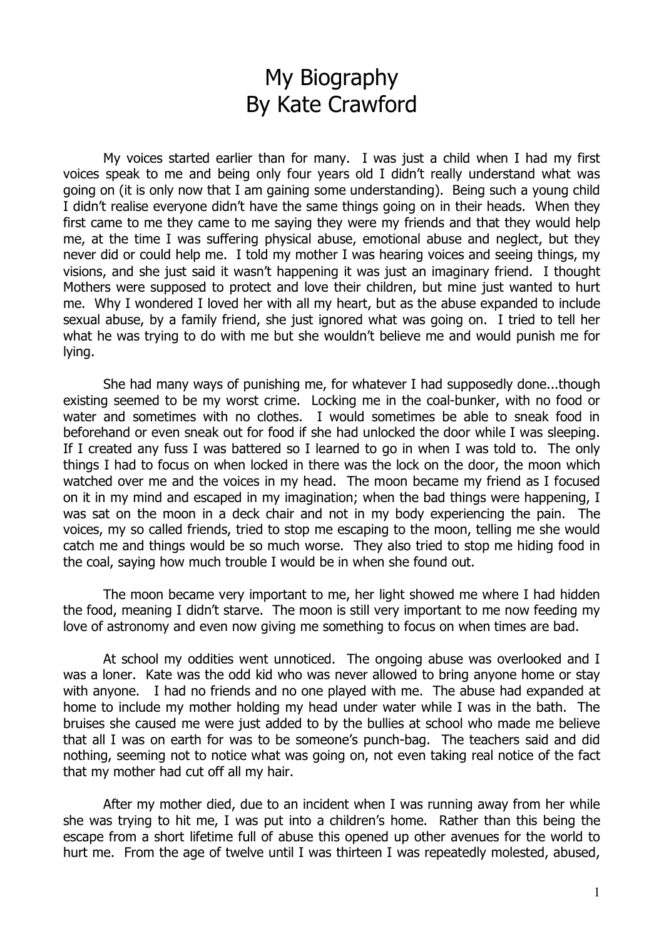## My Biography By Kate Crawford

My voices started earlier than for many. I was just a child when I had my first voices speak to me and being only four years old I didn't really understand what was going on (it is only now that I am gaining some understanding). Being such a young child I didn't realise everyone didn't have the same things going on in their heads. When they first came to me they came to me saying they were my friends and that they would help me, at the time I was suffering physical abuse, emotional abuse and neglect, but they never did or could help me. I told my mother I was hearing voices and seeing things, my visions, and she just said it wasn't happening it was just an imaginary friend. I thought Mothers were supposed to protect and love their children, but mine just wanted to hurt me. Why I wondered I loved her with all my heart, but as the abuse expanded to include sexual abuse, by a family friend, she just ignored what was going on. I tried to tell her what he was trying to do with me but she wouldn't believe me and would punish me for lying.

She had many ways of punishing me, for whatever I had supposedly done...though existing seemed to be my worst crime. Locking me in the coal-bunker, with no food or water and sometimes with no clothes. I would sometimes be able to sneak food in beforehand or even sneak out for food if she had unlocked the door while I was sleeping. If I created any fuss I was battered so I learned to go in when I was told to. The only things I had to focus on when locked in there was the lock on the door, the moon which watched over me and the voices in my head. The moon became my friend as I focused on it in my mind and escaped in my imagination; when the bad things were happening, I was sat on the moon in a deck chair and not in my body experiencing the pain. The voices, my so called friends, tried to stop me escaping to the moon, telling me she would catch me and things would be so much worse. They also tried to stop me hiding food in the coal, saying how much trouble I would be in when she found out.

The moon became very important to me, her light showed me where I had hidden the food, meaning I didn't starve. The moon is still very important to me now feeding my love of astronomy and even now giving me something to focus on when times are bad.

At school my oddities went unnoticed. The ongoing abuse was overlooked and I was a loner. Kate was the odd kid who was never allowed to bring anyone home or stay with anyone. I had no friends and no one played with me. The abuse had expanded at home to include my mother holding my head under water while I was in the bath. The bruises she caused me were just added to by the bullies at school who made me believe that all I was on earth for was to be someone's punch-bag. The teachers said and did nothing, seeming not to notice what was going on, not even taking real notice of the fact that my mother had cut off all my hair.

After my mother died, due to an incident when I was running away from her while she was trying to hit me, I was put into a children's home. Rather than this being the escape from a short lifetime full of abuse this opened up other avenues for the world to hurt me. From the age of twelve until I was thirteen I was repeatedly molested, abused,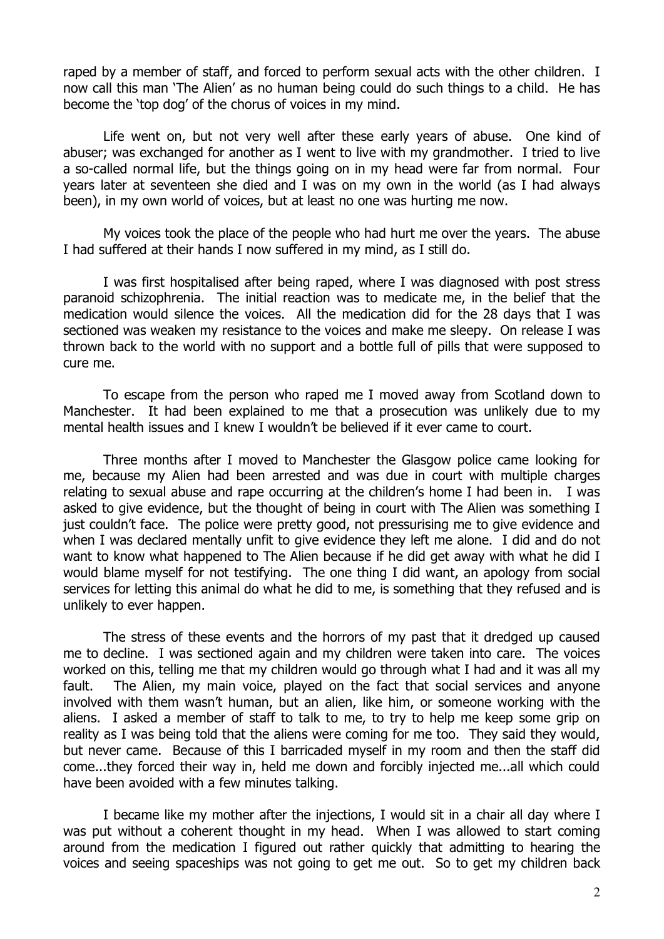raped by a member of staff, and forced to perform sexual acts with the other children. I now call this man 'The Alien' as no human being could do such things to a child. He has become the 'top dog' of the chorus of voices in my mind.

Life went on, but not very well after these early years of abuse. One kind of abuser; was exchanged for another as I went to live with my grandmother. I tried to live a so-called normal life, but the things going on in my head were far from normal. Four years later at seventeen she died and I was on my own in the world (as I had always been), in my own world of voices, but at least no one was hurting me now.

My voices took the place of the people who had hurt me over the years. The abuse I had suffered at their hands I now suffered in my mind, as I still do.

I was first hospitalised after being raped, where I was diagnosed with post stress paranoid schizophrenia. The initial reaction was to medicate me, in the belief that the medication would silence the voices. All the medication did for the 28 days that I was sectioned was weaken my resistance to the voices and make me sleepy. On release I was thrown back to the world with no support and a bottle full of pills that were supposed to cure me.

To escape from the person who raped me I moved away from Scotland down to Manchester. It had been explained to me that a prosecution was unlikely due to my mental health issues and I knew I wouldn't be believed if it ever came to court.

Three months after I moved to Manchester the Glasgow police came looking for me, because my Alien had been arrested and was due in court with multiple charges relating to sexual abuse and rape occurring at the children's home I had been in. I was asked to give evidence, but the thought of being in court with The Alien was something I just couldn't face. The police were pretty good, not pressurising me to give evidence and when I was declared mentally unfit to give evidence they left me alone. I did and do not want to know what happened to The Alien because if he did get away with what he did I would blame myself for not testifying. The one thing I did want, an apology from social services for letting this animal do what he did to me, is something that they refused and is unlikely to ever happen.

The stress of these events and the horrors of my past that it dredged up caused me to decline. I was sectioned again and my children were taken into care. The voices worked on this, telling me that my children would go through what I had and it was all my fault. The Alien, my main voice, played on the fact that social services and anyone involved with them wasn't human, but an alien, like him, or someone working with the aliens. I asked a member of staff to talk to me, to try to help me keep some grip on reality as I was being told that the aliens were coming for me too. They said they would, but never came. Because of this I barricaded myself in my room and then the staff did come...they forced their way in, held me down and forcibly injected me...all which could have been avoided with a few minutes talking.

I became like my mother after the injections, I would sit in a chair all day where I was put without a coherent thought in my head. When I was allowed to start coming around from the medication I figured out rather quickly that admitting to hearing the voices and seeing spaceships was not going to get me out. So to get my children back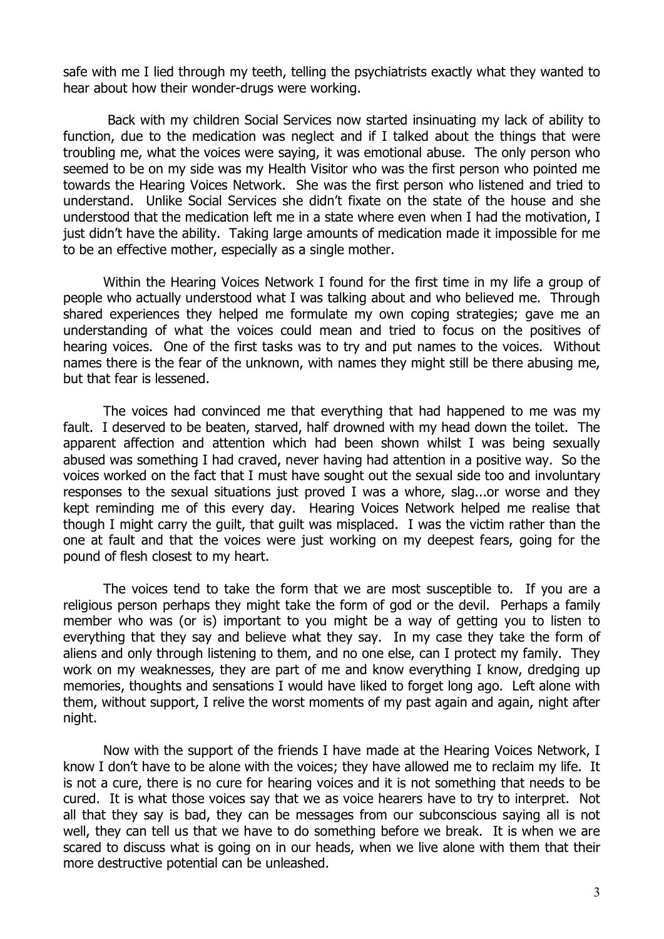safe with me I lied through my teeth, telling the psychiatrists exactly what they wanted to hear about how their wonder-drugs were working.

 Back with my children Social Services now started insinuating my lack of ability to function, due to the medication was neglect and if I talked about the things that were troubling me, what the voices were saying, it was emotional abuse. The only person who seemed to be on my side was my Health Visitor who was the first person who pointed me towards the Hearing Voices Network. She was the first person who listened and tried to understand. Unlike Social Services she didn't fixate on the state of the house and she understood that the medication left me in a state where even when I had the motivation, I just didn't have the ability. Taking large amounts of medication made it impossible for me to be an effective mother, especially as a single mother.

Within the Hearing Voices Network I found for the first time in my life a group of people who actually understood what I was talking about and who believed me. Through shared experiences they helped me formulate my own coping strategies; gave me an understanding of what the voices could mean and tried to focus on the positives of hearing voices. One of the first tasks was to try and put names to the voices. Without names there is the fear of the unknown, with names they might still be there abusing me, but that fear is lessened.

The voices had convinced me that everything that had happened to me was my fault. I deserved to be beaten, starved, half drowned with my head down the toilet. The apparent affection and attention which had been shown whilst I was being sexually abused was something I had craved, never having had attention in a positive way. So the voices worked on the fact that I must have sought out the sexual side too and involuntary responses to the sexual situations just proved I was a whore, slag...or worse and they kept reminding me of this every day. Hearing Voices Network helped me realise that though I might carry the guilt, that guilt was misplaced. I was the victim rather than the one at fault and that the voices were just working on my deepest fears, going for the pound of flesh closest to my heart.

The voices tend to take the form that we are most susceptible to. If you are a religious person perhaps they might take the form of god or the devil. Perhaps a family member who was (or is) important to you might be a way of getting you to listen to everything that they say and believe what they say. In my case they take the form of aliens and only through listening to them, and no one else, can I protect my family. They work on my weaknesses, they are part of me and know everything I know, dredging up memories, thoughts and sensations I would have liked to forget long ago. Left alone with them, without support, I relive the worst moments of my past again and again, night after night.

Now with the support of the friends I have made at the Hearing Voices Network, I know I don't have to be alone with the voices; they have allowed me to reclaim my life. It is not a cure, there is no cure for hearing voices and it is not something that needs to be cured. It is what those voices say that we as voice hearers have to try to interpret. Not all that they say is bad, they can be messages from our subconscious saying all is not well, they can tell us that we have to do something before we break. It is when we are scared to discuss what is going on in our heads, when we live alone with them that their more destructive potential can be unleashed.